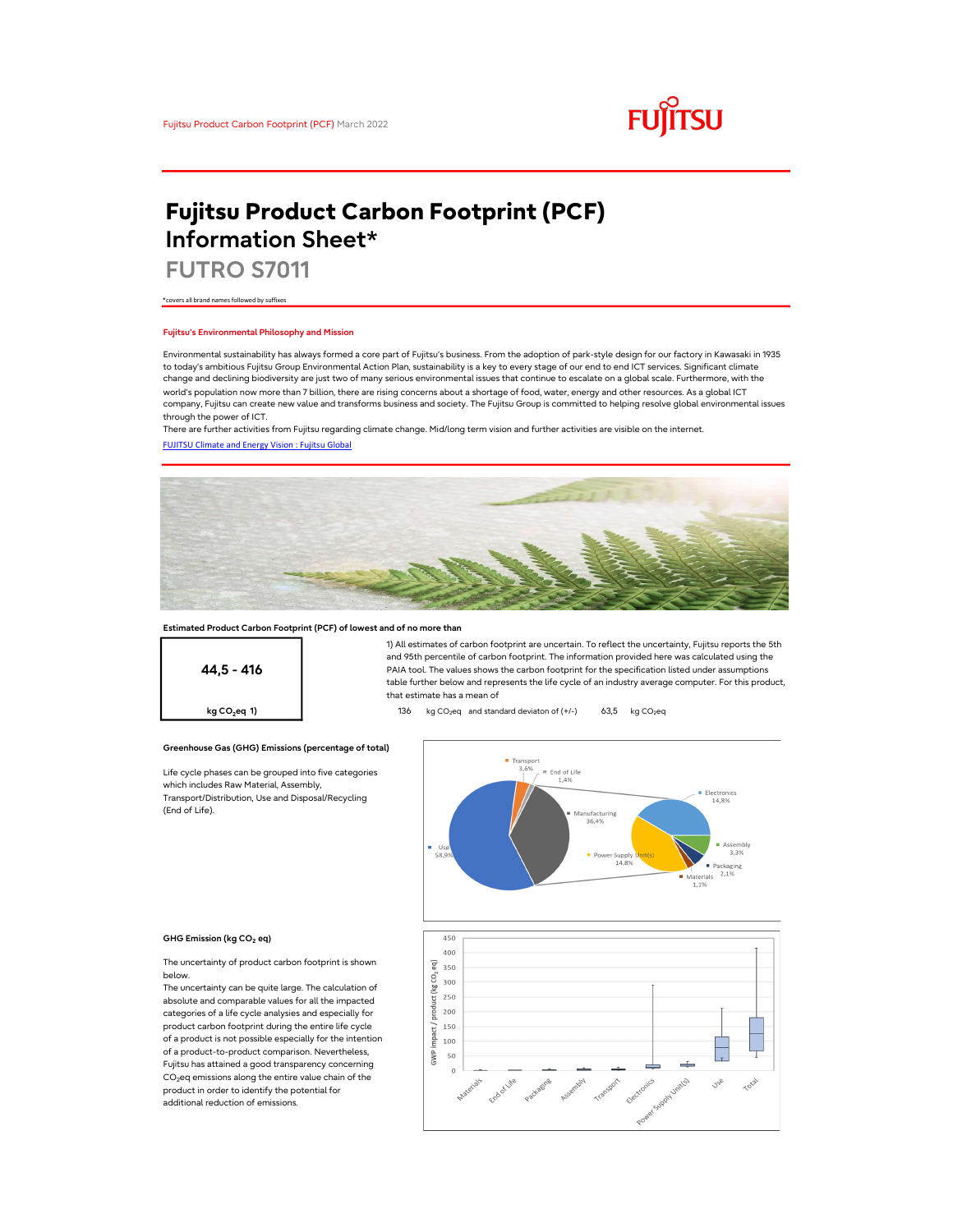

# Fujitsu Product Carbon Footprint (PCF) Information Sheet\*

FUTRO S7011

\*covers all brand names followed by suffixes

## Fujitsu's Environmental Philosophy and Mission

Environmental sustainability has always formed a core part of Fujitsu's business. From the adoption of park-style design for our factory in Kawasaki in 1935 to today's ambitious Fujitsu Group Environmental Action Plan, sustainability is a key to every stage of our end to end ICT services. Significant climate change and declining biodiversity are just two of many serious environmental issues that continue to escalate on a global scale. Furthermore, with the world's population now more than 7 billion, there are rising concerns about a shortage of food, water, energy and other resources. As a global ICT company, Fujitsu can create new value and transforms business and society. The Fujitsu Group is committed to helping resolve global environmental issues through the power of ICT.

FUJITSU Climate and Energy Vision : Fujitsu Global There are further activities from Fujitsu regarding climate change. Mid/long term vision and further activities are visible on the internet.



## Estimated Product Carbon Footprint (PCF) of lowest and of no more than

44,5 - 416

1) All estimates of carbon footprint are uncertain. To reflect the uncertainty, Fujitsu reports the 5th and 95th percentile of carbon footprint. The information provided here was calculated using the PAIA tool. The values shows the carbon footprint for the specification listed under assumptions table further below and represents the life cycle of an industry average computer. For this product, that estimate has a mean of

**kg CO<sub>2</sub>eq 1)** 136 kg CO<sub>2</sub>eq and standard deviaton of  $(+/-)$  63,5 kg CO<sub>2</sub>eq

## Greenhouse Gas (GHG) Emissions (percentage of total)

Life cycle phases can be grouped into five categories which includes Raw Material, Assembly, Transport/Distribution, Use and Disposal/Recycling (End of Life).



#### GHG Emission (kg CO<sub>2</sub> eq)

The uncertainty of product carbon footprint is shown below.

The uncertainty can be quite large. The calculation of absolute and comparable values for all the impacted categories of a life cycle analysies and especially for product carbon footprint during the entire life cycle of a product is not possible especially for the intention of a product-to-product comparison. Nevertheless, Fujitsu has attained a good transparency concerning  $CO<sub>2</sub>$ eq emissions along the entire value chain of the product in order to identify the potential for additional reduction of emissions.